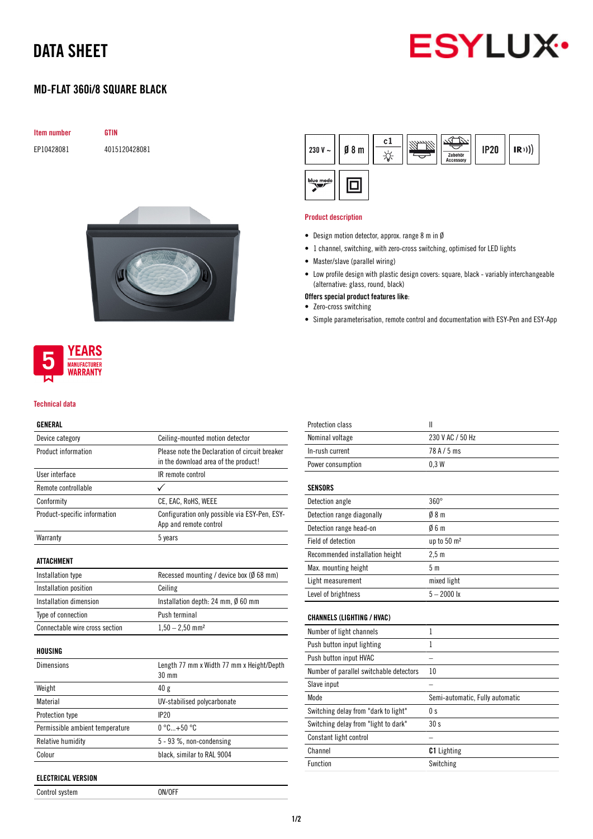## DATA SHEET



### MD-FLAT 360i/8 SQUARE BLACK

| <b>Item number</b> |  |
|--------------------|--|
|                    |  |

EP10428081 4015120428081

**GTIN** 





#### Technical data

### GENERAL

| Device category                 | Ceiling-mounted motion detector                                                        |
|---------------------------------|----------------------------------------------------------------------------------------|
| Product information             | Please note the Declaration of circuit breaker<br>in the download area of the product! |
| User interface                  | IR remote control                                                                      |
| Remote controllable             | ✓                                                                                      |
| Conformity                      | CE, EAC, RoHS, WEEE                                                                    |
| Product-specific information    | Configuration only possible via ESY-Pen, ESY-<br>App and remote control                |
| Warranty                        | 5 years                                                                                |
| ATTACHMENT                      |                                                                                        |
| Installation type               | Recessed mounting / device box ( $\emptyset$ 68 mm)                                    |
| Installation position           | Ceiling                                                                                |
| Installation dimension          | Installation depth: 24 mm, $\emptyset$ 60 mm                                           |
| Type of connection              | Push terminal                                                                          |
| Connectable wire cross section  | $1,50 - 2,50$ mm <sup>2</sup>                                                          |
| HOUSING                         |                                                                                        |
| Dimensions                      | Length 77 mm x Width 77 mm x Height/Depth<br>30 mm                                     |
| Weight                          | 40g                                                                                    |
| Material                        | UV-stabilised polycarbonate                                                            |
| Protection type                 | IP20                                                                                   |
| Permissible ambient temperature | $0^{\circ}$ C+50 $^{\circ}$ C                                                          |
| Relative humidity               | 5 - 93 %, non-condensing                                                               |
| Colour                          | black, similar to RAL 9004                                                             |

| ELECTRICAL VERSION |  |
|--------------------|--|
|                    |  |

Control system ON/OFF

 $c1$ 230 V  $\sim$  $08<sub>m</sub>$ **IP20**  $(R))$ ☆ blue mode 回

#### Product description

- Design motion detector, approx. range 8 m in Ø
- 1 channel, switching, with zero-cross switching, optimised for LED lights
- Master/slave (parallel wiring)
- Low profile design with plastic design covers: square, black variably interchangeable (alternative: glass, round, black)
- Offers special product features like:
- Zero-cross switching
- Simple parameterisation, remote control and documentation with ESY-Pen and ESY-App

| Protection class                        | Ш                               |
|-----------------------------------------|---------------------------------|
| Nominal voltage                         | 230 V AC / 50 Hz                |
| In-rush current                         | 78A/5ms                         |
| Power consumption                       | 0.3W                            |
| <b>SENSORS</b>                          |                                 |
| Detection angle                         | $360^\circ$                     |
| Detection range diagonally              | 08 <sub>m</sub>                 |
| Detection range head-on                 | 06m                             |
| Field of detection                      | up to 50 m <sup>2</sup>         |
| Recommended installation height         | 2.5 <sub>m</sub>                |
| Max. mounting height                    | 5 <sub>m</sub>                  |
| Light measurement                       | mixed light                     |
| Level of brightness                     | $5 - 2000$ lx                   |
| <b>CHANNELS (LIGHTING / HVAC)</b>       |                                 |
| Number of light channels                | $\mathbf{1}$                    |
| Push button input lighting              | 1                               |
| Push button input HVAC                  |                                 |
| Number of parallel switchable detectors | 10                              |
| Slave input                             |                                 |
| Mode                                    | Semi-automatic, Fully automatic |
| Switching delay from "dark to light"    | 0 <sub>s</sub>                  |
| Switching delay from "light to dark"    | 30s                             |
| Constant light control                  |                                 |
| Channel                                 | <b>C1</b> Lighting              |
| Function                                | Switching                       |
|                                         |                                 |